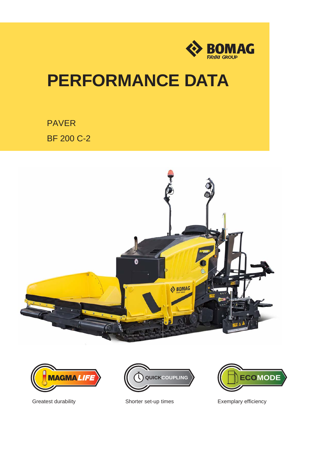

# **PERFORMANCE DATA**

PAVER BF 200 C-2







Greatest durability **Shorter set-up times** Exemplary efficiency

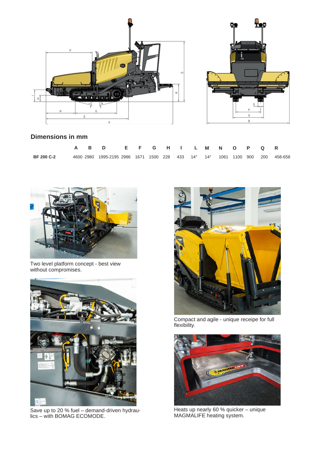



# **Dimensions in mm**

|                   |  | A B D E F G H I L M N O P Q R                                                |  |  |  |  |  |  |
|-------------------|--|------------------------------------------------------------------------------|--|--|--|--|--|--|
| <b>BF 200 C-2</b> |  | 4600 2980 1995-2195 2986 1671 1500 228 433 14° 14° 1061 1100 900 200 458-658 |  |  |  |  |  |  |



Two level platform concept - best view without compromises.



Save up to 20 % fuel – demand-driven hydraulics – with BOMAG ECOMODE.



Compact and agile - unique receipe for full flexibility.



Heats up nearly 60 % quicker – unique MAGMALIFE heating system.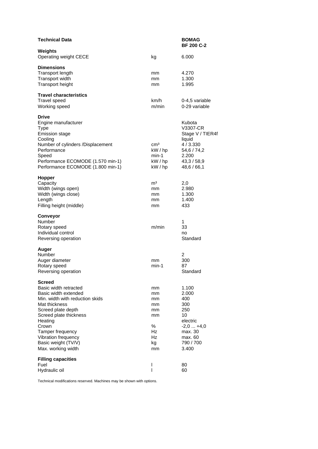| <b>Technical Data</b>                                                                                                                                                                                                                                                   |                                                               | <b>BOMAG</b><br><b>BF 200 C-2</b>                                                                               |
|-------------------------------------------------------------------------------------------------------------------------------------------------------------------------------------------------------------------------------------------------------------------------|---------------------------------------------------------------|-----------------------------------------------------------------------------------------------------------------|
| Weights<br>Operating weight CECE                                                                                                                                                                                                                                        | kg                                                            | 6.000                                                                                                           |
| <b>Dimensions</b><br><b>Transport length</b><br>Transport width<br><b>Transport height</b>                                                                                                                                                                              | mm<br>mm<br>mm                                                | 4.270<br>1.300<br>1.995                                                                                         |
| <b>Travel characteristics</b><br><b>Travel speed</b><br>Working speed                                                                                                                                                                                                   | km/h<br>m/min                                                 | 0-4,5 variable<br>0-29 variable                                                                                 |
| <b>Drive</b><br>Engine manufacturer<br><b>Type</b><br><b>Emission stage</b><br>Cooling<br>Number of cylinders /Displacement<br>Performance<br>Speed<br>Performance ECOMODE (1.570 min-1)<br>Performance ECOMODE (1.800 min-1)                                           | cm <sup>3</sup><br>kW / hp<br>min-1<br>kW / hp<br>kW / hp     | Kubota<br>V3307-CR<br>Stage V / TIER4f<br>liquid<br>4/3.330<br>54,6 / 74,2<br>2.200<br>43,3/58,9<br>48,6 / 66,1 |
| <b>Hopper</b><br>Capacity<br>Width (wings open)<br>Width (wings close)<br>Length<br>Filling height (middle)                                                                                                                                                             | m <sup>3</sup><br>mm<br>mm<br>mm<br>mm                        | 2,0<br>2.980<br>1.300<br>1.400<br>433                                                                           |
| Conveyor<br>Number<br>Rotary speed<br>Individual control<br>Reversing operation                                                                                                                                                                                         | m/min                                                         | 1<br>33<br>no<br>Standard                                                                                       |
| Auger<br>Number<br>Auger diameter<br>Rotary speed<br>Reversing operation                                                                                                                                                                                                | mm<br>min-1                                                   | $\overline{c}$<br>300<br>87<br>Standard                                                                         |
| Screed<br>Basic width retracted<br>Basic width extended<br>Min, width with reduction skids<br>Mat thickness<br>Screed plate depth<br>Screed plate thickness<br>Heating<br>Crown<br>Tamper frequency<br>Vibration frequency<br>Basic weight (TV/V)<br>Max. working width | mm<br>mm<br>mm<br>mm<br>mm<br>mm<br>℅<br>Hz<br>Hz<br>kg<br>mm | 1.100<br>2.000<br>400<br>300<br>250<br>10<br>electric<br>$-2,0+4,0$<br>max. 30<br>max. 60<br>790 / 700<br>3.400 |
| <b>Filling capacities</b><br>Fuel<br>Hydraulic oil                                                                                                                                                                                                                      | I<br>I                                                        | 80<br>60                                                                                                        |

Technical modifications reserved. Machines may be shown with options.